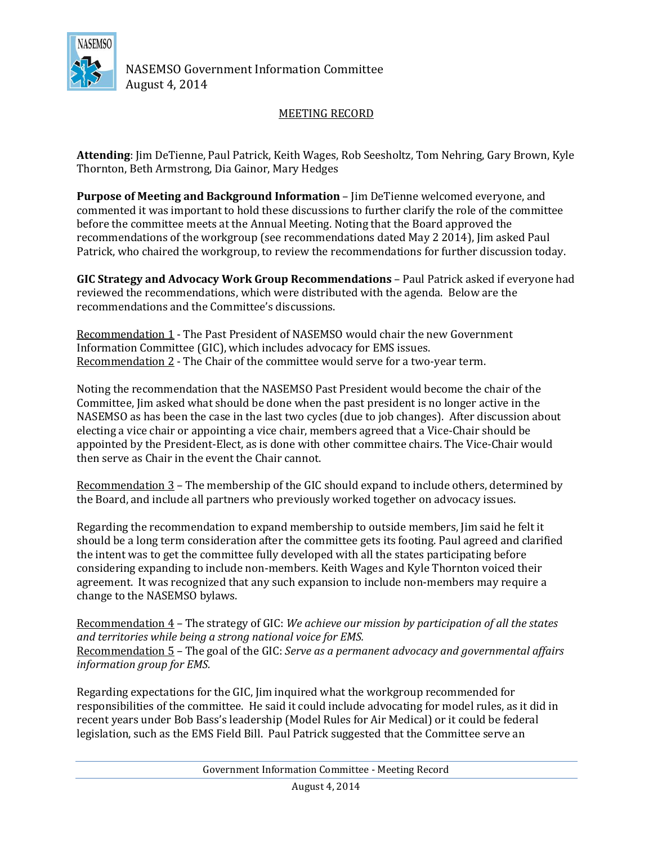

NASEMSO Government Information Committee August 4, 2014

## MEETING RECORD

**Attending**: Jim DeTienne, Paul Patrick, Keith Wages, Rob Seesholtz, Tom Nehring, Gary Brown, Kyle Thornton, Beth Armstrong, Dia Gainor, Mary Hedges

**Purpose of Meeting and Background Information** – Jim DeTienne welcomed everyone, and commented it was important to hold these discussions to further clarify the role of the committee before the committee meets at the Annual Meeting. Noting that the Board approved the recommendations of the workgroup (see recommendations dated May 2 2014), Jim asked Paul Patrick, who chaired the workgroup, to review the recommendations for further discussion today.

**GIC Strategy and Advocacy Work Group Recommendations** – Paul Patrick asked if everyone had reviewed the recommendations, which were distributed with the agenda. Below are the recommendations and the Committee's discussions.

Recommendation 1 - The Past President of NASEMSO would chair the new Government Information Committee (GIC), which includes advocacy for EMS issues. Recommendation 2 - The Chair of the committee would serve for a two-year term.

Noting the recommendation that the NASEMSO Past President would become the chair of the Committee, Jim asked what should be done when the past president is no longer active in the NASEMSO as has been the case in the last two cycles (due to job changes). After discussion about electing a vice chair or appointing a vice chair, members agreed that a Vice-Chair should be appointed by the President-Elect, as is done with other committee chairs. The Vice-Chair would then serve as Chair in the event the Chair cannot.

Recommendation 3 – The membership of the GIC should expand to include others, determined by the Board, and include all partners who previously worked together on advocacy issues.

Regarding the recommendation to expand membership to outside members, Jim said he felt it should be a long term consideration after the committee gets its footing. Paul agreed and clarified the intent was to get the committee fully developed with all the states participating before considering expanding to include non-members. Keith Wages and Kyle Thornton voiced their agreement. It was recognized that any such expansion to include non-members may require a change to the NASEMSO bylaws.

Recommendation 4 – The strategy of GIC: *We achieve our mission by participation of all the states and territories while being a strong national voice for EMS.* Recommendation 5 – The goal of the GIC: *Serve as a permanent advocacy and governmental affairs information group for EMS.*

Regarding expectations for the GIC, Jim inquired what the workgroup recommended for responsibilities of the committee. He said it could include advocating for model rules, as it did in recent years under Bob Bass's leadership (Model Rules for Air Medical) or it could be federal legislation, such as the EMS Field Bill. Paul Patrick suggested that the Committee serve an